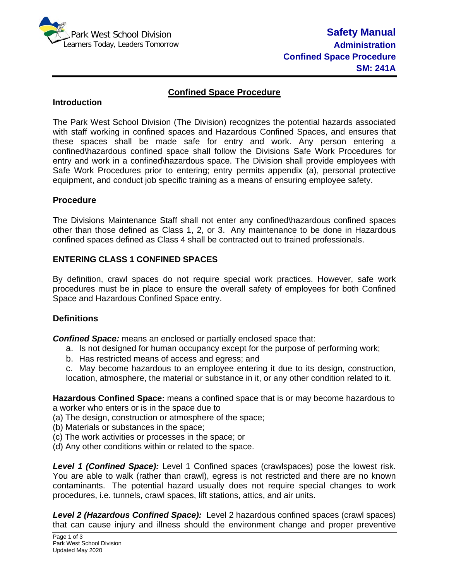

### **Confined Space Procedure**

#### **Introduction**

The Park West School Division (The Division) recognizes the potential hazards associated with staff working in confined spaces and Hazardous Confined Spaces, and ensures that these spaces shall be made safe for entry and work. Any person entering a confined\hazardous confined space shall follow the Divisions Safe Work Procedures for entry and work in a confined\hazardous space. The Division shall provide employees with Safe Work Procedures prior to entering; entry permits appendix (a), personal protective equipment, and conduct job specific training as a means of ensuring employee safety.

### **Procedure**

The Divisions Maintenance Staff shall not enter any confined\hazardous confined spaces other than those defined as Class 1, 2, or 3. Any maintenance to be done in Hazardous confined spaces defined as Class 4 shall be contracted out to trained professionals.

### **ENTERING CLASS 1 CONFINED SPACES**

By definition, crawl spaces do not require special work practices. However, safe work procedures must be in place to ensure the overall safety of employees for both Confined Space and Hazardous Confined Space entry.

## **Definitions**

*Confined Space:* means an enclosed or partially enclosed space that:

- a. Is not designed for human occupancy except for the purpose of performing work;
- b. Has restricted means of access and egress; and

c. May become hazardous to an employee entering it due to its design, construction, location, atmosphere, the material or substance in it, or any other condition related to it.

**Hazardous Confined Space:** means a confined space that is or may become hazardous to a worker who enters or is in the space due to

(a) The design, construction or atmosphere of the space;

- (b) Materials or substances in the space;
- (c) The work activities or processes in the space; or
- (d) Any other conditions within or related to the space.

**Level 1 (Confined Space):** Level 1 Confined spaces (crawlspaces) pose the lowest risk. You are able to walk (rather than crawl), egress is not restricted and there are no known contaminants. The potential hazard usually does not require special changes to work procedures, i.e. tunnels, crawl spaces, lift stations, attics, and air units.

*Level 2 (Hazardous Confined Space):* Level 2 hazardous confined spaces (crawl spaces) that can cause injury and illness should the environment change and proper preventive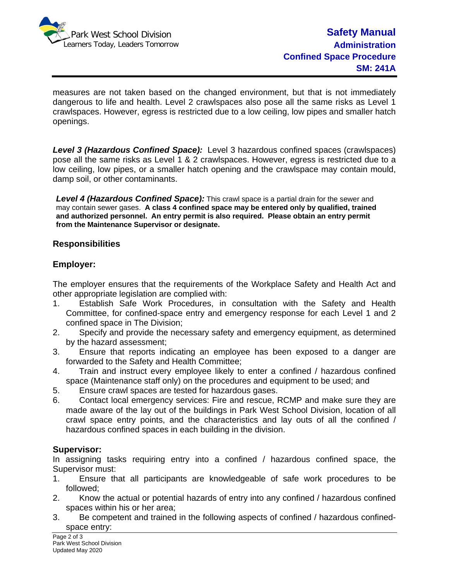

measures are not taken based on the changed environment, but that is not immediately dangerous to life and health. Level 2 crawlspaces also pose all the same risks as Level 1 crawlspaces. However, egress is restricted due to a low ceiling, low pipes and smaller hatch openings.

*Level 3 (Hazardous Confined Space):* Level 3 hazardous confined spaces (crawlspaces) pose all the same risks as Level 1 & 2 crawlspaces. However, egress is restricted due to a low ceiling, low pipes, or a smaller hatch opening and the crawlspace may contain mould, damp soil, or other contaminants.

*Level 4 (Hazardous Confined Space):* This crawl space is a partial drain for the sewer and may contain sewer gases. **A class 4 confined space may be entered only by qualified, trained and authorized personnel. An entry permit is also required. Please obtain an entry permit from the Maintenance Supervisor or designate.** 

### **Responsibilities**

## **Employer:**

The employer ensures that the requirements of the Workplace Safety and Health Act and other appropriate legislation are complied with:

- 1. Establish Safe Work Procedures, in consultation with the Safety and Health Committee, for confined-space entry and emergency response for each Level 1 and 2 confined space in The Division;
- 2. Specify and provide the necessary safety and emergency equipment, as determined by the hazard assessment;
- 3. Ensure that reports indicating an employee has been exposed to a danger are forwarded to the Safety and Health Committee;
- 4. Train and instruct every employee likely to enter a confined / hazardous confined space (Maintenance staff only) on the procedures and equipment to be used; and
- 5. Ensure crawl spaces are tested for hazardous gases.
- 6. Contact local emergency services: Fire and rescue, RCMP and make sure they are made aware of the lay out of the buildings in Park West School Division, location of all crawl space entry points, and the characteristics and lay outs of all the confined / hazardous confined spaces in each building in the division.

## **Supervisor:**

In assigning tasks requiring entry into a confined / hazardous confined space, the Supervisor must:

- 1. Ensure that all participants are knowledgeable of safe work procedures to be followed;
- 2. Know the actual or potential hazards of entry into any confined / hazardous confined spaces within his or her area;
- 3. Be competent and trained in the following aspects of confined / hazardous confinedspace entry: